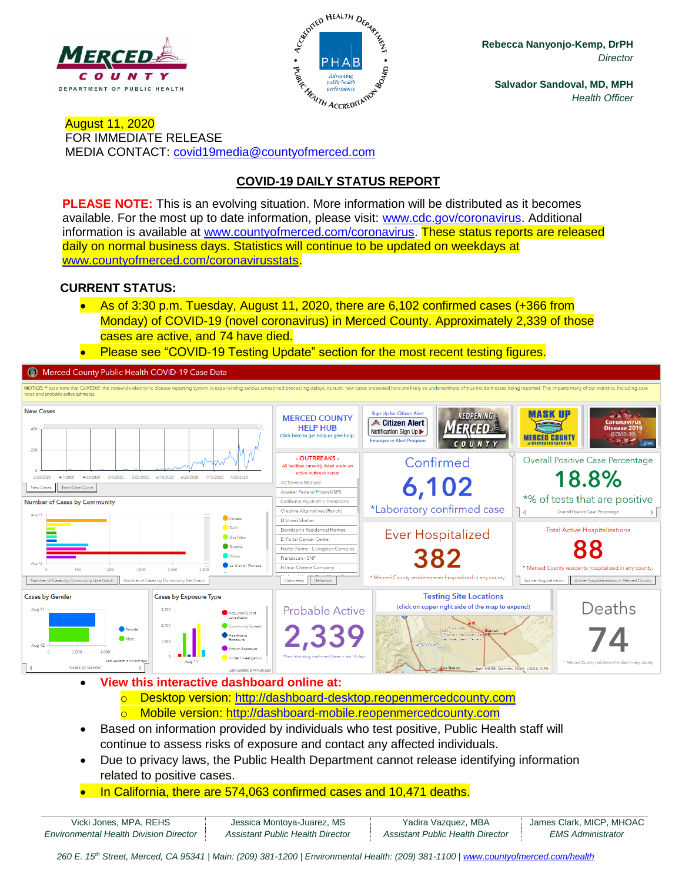



**Rebecca Nanyonjo-Kemp, DrPH** *Director*

**Salvador Sandoval, MD, MPH** *Health Officer*

August 11, 2020 FOR IMMEDIATE RELEASE MEDIA CONTACT: [covid19media@countyofmerced.com](mailto:covid19media@countyofmerced.com)

# **COVID-19 DAILY STATUS REPORT**

**PLEASE NOTE:** This is an evolving situation. More information will be distributed as it becomes available. For the most up to date information, please visit: [www.cdc.gov/coronavirus.](http://www.cdc.gov/coronavirus) Additional information is available at [www.countyofmerced.com/coronavirus.](http://www.countyofmerced.com/coronavirus) These status reports are released daily on normal business days. Statistics will continue to be updated on weekdays at [www.countyofmerced.com/coronavirusstats.](http://www.countyofmerced.com/coronavirusstats)

#### **CURRENT STATUS:**

- As of 3:30 p.m. Tuesday, August 11, 2020, there are 6,102 confirmed cases (+366 from Monday) of COVID-19 (novel coronavirus) in Merced County. Approximately 2,339 of those cases are active, and 74 have died.
- Please see "COVID-19 Testing Update" section for the most recent testing figures.

Merced County Public Health COVID-19 Case Data



- **View this interactive dashboard online at:**
	- o Desktop version: [http://dashboard-desktop.reopenmercedcounty.com](http://dashboard-desktop.reopenmercedcounty.com/)
	- o Mobile version: [http://dashboard-mobile.reopenmercedcounty.com](http://dashboard-mobile.reopenmercedcounty.com/)
- Based on information provided by individuals who test positive, Public Health staff will continue to assess risks of exposure and contact any affected individuals.
- Due to privacy laws, the Public Health Department cannot release identifying information related to positive cases.
- In California, there are 574,063 confirmed cases and 10,471 deaths.

| Vicki Jones, MPA, REHS                        | Jessica Montoya-Juarez, MS       | Yadira Vazquez, MBA              | James Clark, MICP, MHOAC |
|-----------------------------------------------|----------------------------------|----------------------------------|--------------------------|
| <b>Environmental Health Division Director</b> | Assistant Public Health Director | Assistant Public Health Director | <b>EMS Administrator</b> |

260 E. 15<sup>th</sup> Street, Merced, CA 95341 | Main: (209) 381-1200 | Environmental Health: (209) 381-1100 | [www.countyofmerced.com/health](http://www.countyofmerced.com/health)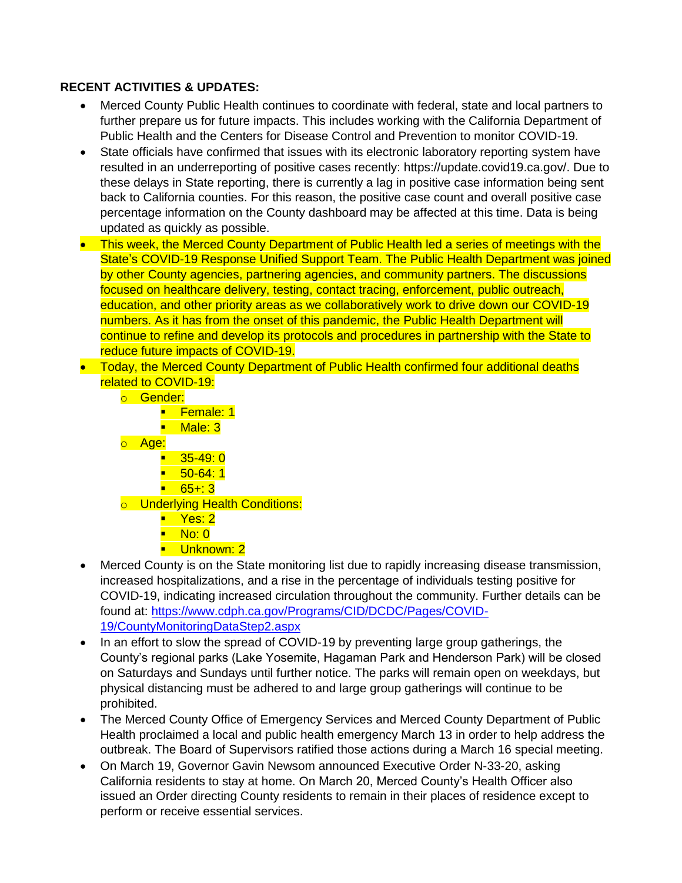### **RECENT ACTIVITIES & UPDATES:**

- Merced County Public Health continues to coordinate with federal, state and local partners to further prepare us for future impacts. This includes working with the California Department of Public Health and the Centers for Disease Control and Prevention to monitor COVID-19.
- State officials have confirmed that issues with its electronic laboratory reporting system have resulted in an underreporting of positive cases recently: https://update.covid19.ca.gov/. Due to these delays in State reporting, there is currently a lag in positive case information being sent back to California counties. For this reason, the positive case count and overall positive case percentage information on the County dashboard may be affected at this time. Data is being updated as quickly as possible.
- This week, the Merced County Department of Public Health led a series of meetings with the State's COVID-19 Response Unified Support Team. The Public Health Department was joined by other County agencies, partnering agencies, and community partners. The discussions focused on healthcare delivery, testing, contact tracing, enforcement, public outreach, education, and other priority areas as we collaboratively work to drive down our COVID-19 numbers. As it has from the onset of this pandemic, the Public Health Department will continue to refine and develop its protocols and procedures in partnership with the State to reduce future impacts of COVID-19.
- Today, the Merced County Department of Public Health confirmed four additional deaths related to COVID-19:
	- o Gender:
		- Female: 1
		- Male: 3
	- o Age:
		- $\blacksquare$  35-49: 0
		- $\blacksquare$  50-64:1
		- $-65+3$
	- o Underlying Health Conditions:
		- Yes: 2
		- No: 0
		- Unknown: 2
- Merced County is on the State monitoring list due to rapidly increasing disease transmission, increased hospitalizations, and a rise in the percentage of individuals testing positive for COVID-19, indicating increased circulation throughout the community. Further details can be found at: [https://www.cdph.ca.gov/Programs/CID/DCDC/Pages/COVID-](https://www.cdph.ca.gov/Programs/CID/DCDC/Pages/COVID-19/CountyMonitoringDataStep2.aspx)[19/CountyMonitoringDataStep2.aspx](https://www.cdph.ca.gov/Programs/CID/DCDC/Pages/COVID-19/CountyMonitoringDataStep2.aspx)
- In an effort to slow the spread of COVID-19 by preventing large group gatherings, the County's regional parks (Lake Yosemite, Hagaman Park and Henderson Park) will be closed on Saturdays and Sundays until further notice. The parks will remain open on weekdays, but physical distancing must be adhered to and large group gatherings will continue to be prohibited.
- The Merced County Office of Emergency Services and Merced County Department of Public Health proclaimed a local and public health emergency March 13 in order to help address the outbreak. The Board of Supervisors ratified those actions during a March 16 special meeting.
- On March 19, Governor Gavin Newsom announced Executive Order N-33-20, asking California residents to stay at home. On March 20, Merced County's Health Officer also issued an Order directing County residents to remain in their places of residence except to perform or receive essential services.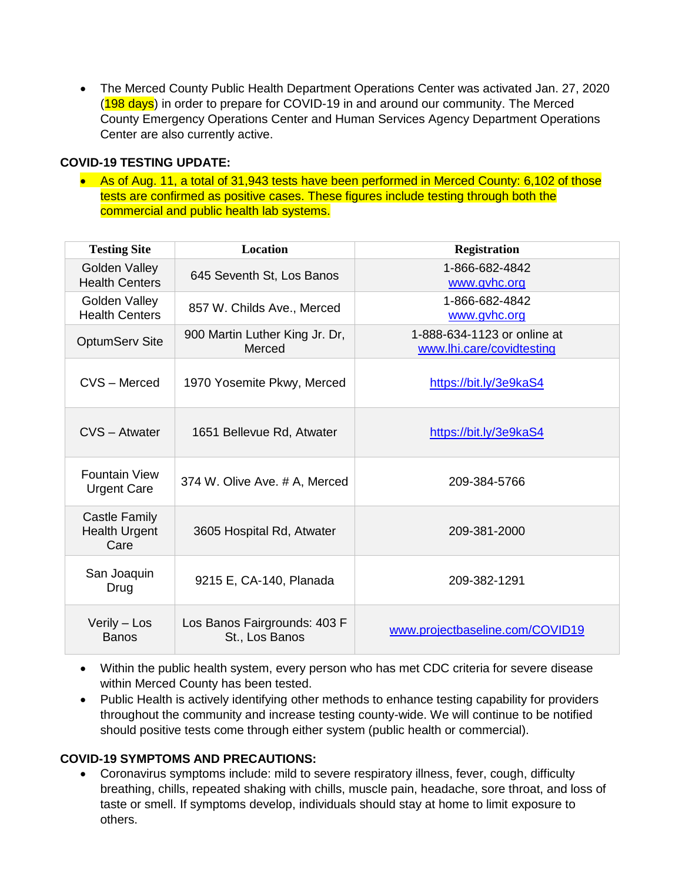• The Merced County Public Health Department Operations Center was activated Jan. 27, 2020 (198 days) in order to prepare for COVID-19 in and around our community. The Merced County Emergency Operations Center and Human Services Agency Department Operations Center are also currently active.

### **COVID-19 TESTING UPDATE:**

• As of Aug. 11, a total of 31,943 tests have been performed in Merced County: 6,102 of those tests are confirmed as positive cases. These figures include testing through both the commercial and public health lab systems.

| <b>Testing Site</b>                                  | <b>Location</b>                                | <b>Registration</b>                                      |
|------------------------------------------------------|------------------------------------------------|----------------------------------------------------------|
| Golden Valley<br><b>Health Centers</b>               | 645 Seventh St, Los Banos                      | 1-866-682-4842<br>www.gvhc.org                           |
| Golden Valley<br><b>Health Centers</b>               | 857 W. Childs Ave., Merced                     | 1-866-682-4842<br>www.gyhc.org                           |
| <b>OptumServ Site</b>                                | 900 Martin Luther King Jr. Dr,<br>Merced       | 1-888-634-1123 or online at<br>www.lhi.care/covidtesting |
| CVS - Merced                                         | 1970 Yosemite Pkwy, Merced                     | https://bit.ly/3e9kaS4                                   |
| CVS - Atwater                                        | 1651 Bellevue Rd, Atwater                      | https://bit.ly/3e9kaS4                                   |
| <b>Fountain View</b><br><b>Urgent Care</b>           | 374 W. Olive Ave. # A, Merced                  | 209-384-5766                                             |
| <b>Castle Family</b><br><b>Health Urgent</b><br>Care | 3605 Hospital Rd, Atwater                      | 209-381-2000                                             |
| San Joaquin<br>Drug                                  | 9215 E, CA-140, Planada                        | 209-382-1291                                             |
| Verily - Los<br><b>Banos</b>                         | Los Banos Fairgrounds: 403 F<br>St., Los Banos | www.projectbaseline.com/COVID19                          |

- Within the public health system, every person who has met CDC criteria for severe disease within Merced County has been tested.
- Public Health is actively identifying other methods to enhance testing capability for providers throughout the community and increase testing county-wide. We will continue to be notified should positive tests come through either system (public health or commercial).

#### **COVID-19 SYMPTOMS AND PRECAUTIONS:**

• Coronavirus symptoms include: mild to severe respiratory illness, fever, cough, difficulty breathing, chills, repeated shaking with chills, muscle pain, headache, sore throat, and loss of taste or smell. If symptoms develop, individuals should stay at home to limit exposure to others.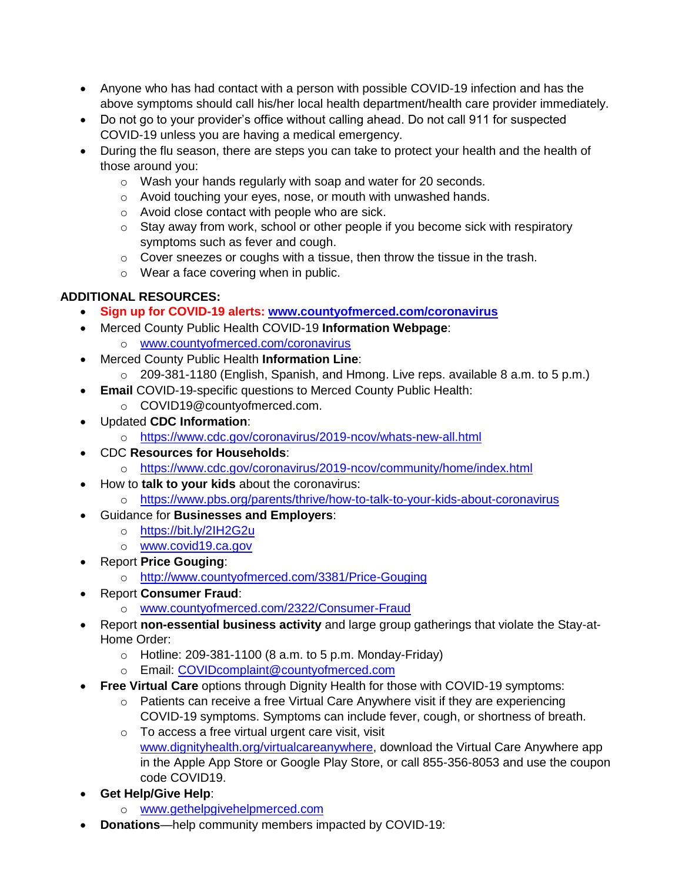- Anyone who has had contact with a person with possible COVID-19 infection and has the above symptoms should call his/her local health department/health care provider immediately.
- Do not go to your provider's office without calling ahead. Do not call 911 for suspected COVID-19 unless you are having a medical emergency.
- During the flu season, there are steps you can take to protect your health and the health of those around you:
	- o Wash your hands regularly with soap and water for 20 seconds.
	- o Avoid touching your eyes, nose, or mouth with unwashed hands.
	- o Avoid close contact with people who are sick.
	- o Stay away from work, school or other people if you become sick with respiratory symptoms such as fever and cough.
	- o Cover sneezes or coughs with a tissue, then throw the tissue in the trash.
	- o Wear a face covering when in public.

# **ADDITIONAL RESOURCES:**

- **Sign up for COVID-19 alerts: [www.countyofmerced.com/coronavirus](http://www.countyofmerced.com/coronavirus)**
- Merced County Public Health COVID-19 **Information Webpage**: o [www.countyofmerced.com/coronavirus](http://www.countyofmerced.com/coronavirus)
- Merced County Public Health **Information Line**:
	- o 209-381-1180 (English, Spanish, and Hmong. Live reps. available 8 a.m. to 5 p.m.)
- **Email** COVID-19-specific questions to Merced County Public Health:
	- o COVID19@countyofmerced.com.
- Updated **CDC Information**:
	- o <https://www.cdc.gov/coronavirus/2019-ncov/whats-new-all.html>
- CDC **Resources for Households**:
	- o <https://www.cdc.gov/coronavirus/2019-ncov/community/home/index.html>
- How to **talk to your kids** about the coronavirus:
	- o <https://www.pbs.org/parents/thrive/how-to-talk-to-your-kids-about-coronavirus>
- Guidance for **Businesses and Employers**:
	- o <https://bit.ly/2IH2G2u>
	- o [www.covid19.ca.gov](http://www.covid19.ca.gov/)
- Report **Price Gouging**:
	- o <http://www.countyofmerced.com/3381/Price-Gouging>
- Report **Consumer Fraud**:
	- o [www.countyofmerced.com/2322/Consumer-Fraud](http://www.countyofmerced.com/2322/Consumer-Fraud)
	- Report **non-essential business activity** and large group gatherings that violate the Stay-at-Home Order:
		- $\circ$  Hotline: 209-381-1100 (8 a.m. to 5 p.m. Monday-Friday)
		- o Email: [COVIDcomplaint@countyofmerced.com](mailto:COVIDcomplaint@countyofmerced.com)
- **Free Virtual Care** options through Dignity Health for those with COVID-19 symptoms:
	- o Patients can receive a free Virtual Care Anywhere visit if they are experiencing COVID-19 symptoms. Symptoms can include fever, cough, or shortness of breath.
	- o To access a free virtual urgent care visit, visit
	- [www.dignityhealth.org/virtualcareanywhere,](http://www.dignityhealth.org/virtualcareanywhere) download the Virtual Care Anywhere app in the Apple App Store or Google Play Store, or call 855-356-8053 and use the coupon code COVID19.
- **Get Help/Give Help**:
	- o [www.gethelpgivehelpmerced.com](http://www.gethelpgivehelpmerced.com/)
- **Donations**—help community members impacted by COVID-19: